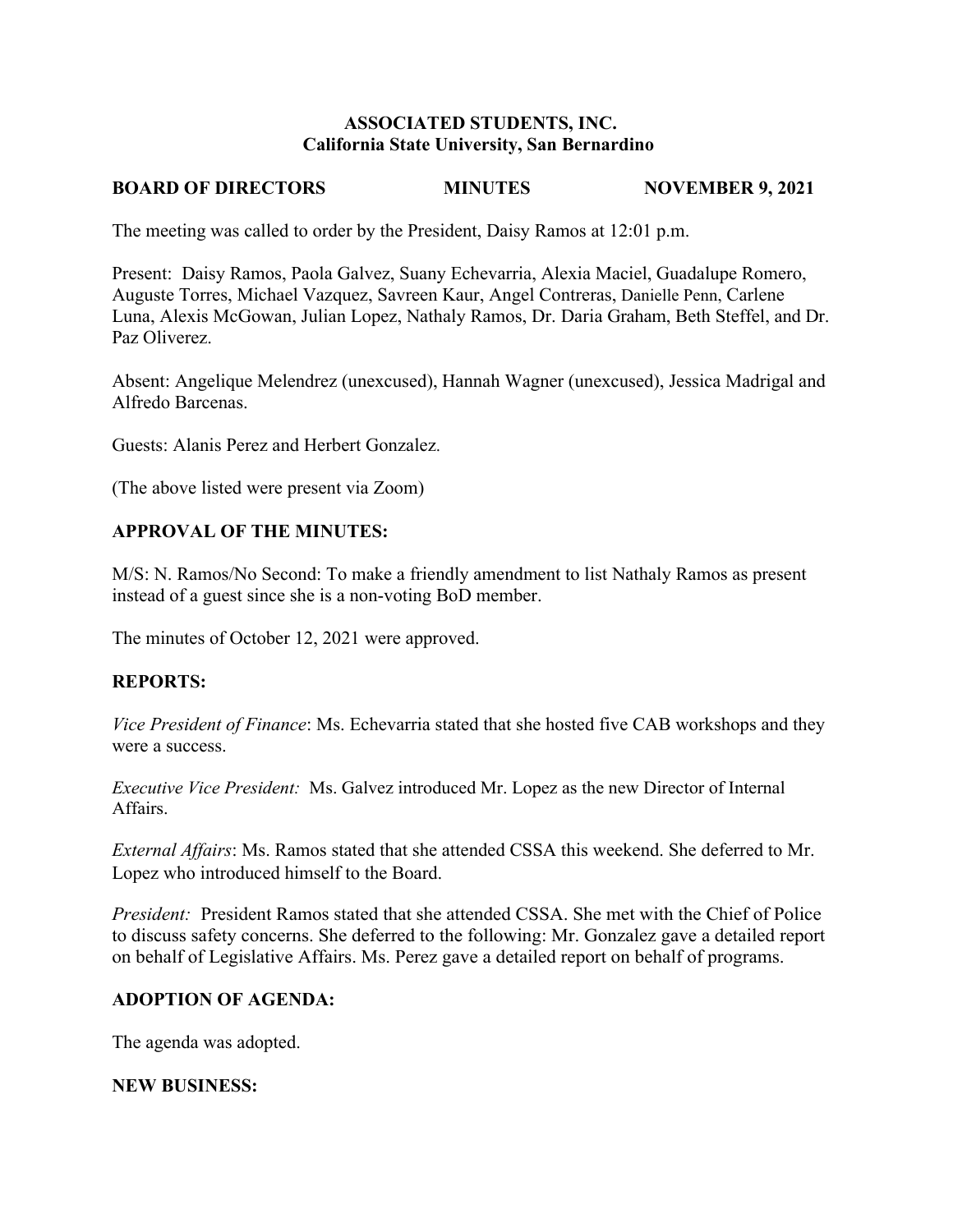#### **ASSOCIATED STUDENTS, INC. California State University, San Bernardino**

# **BOARD OF DIRECTORS MINUTES NOVEMBER 9, 2021**

The meeting was called to order by the President, Daisy Ramos at 12:01 p.m.

Present: Daisy Ramos, Paola Galvez, Suany Echevarria, Alexia Maciel, Guadalupe Romero, Auguste Torres, Michael Vazquez, Savreen Kaur, Angel Contreras, Danielle Penn, Carlene Luna, Alexis McGowan, Julian Lopez, Nathaly Ramos, Dr. Daria Graham, Beth Steffel, and Dr. Paz Oliverez.

Absent: Angelique Melendrez (unexcused), Hannah Wagner (unexcused), Jessica Madrigal and Alfredo Barcenas.

Guests: Alanis Perez and Herbert Gonzalez.

(The above listed were present via Zoom)

### **APPROVAL OF THE MINUTES:**

M/S: N. Ramos/No Second: To make a friendly amendment to list Nathaly Ramos as present instead of a guest since she is a non-voting BoD member.

The minutes of October 12, 2021 were approved.

#### **REPORTS:**

*Vice President of Finance*: Ms. Echevarria stated that she hosted five CAB workshops and they were a success.

*Executive Vice President:* Ms. Galvez introduced Mr. Lopez as the new Director of Internal Affairs.

*External Affairs*: Ms. Ramos stated that she attended CSSA this weekend. She deferred to Mr. Lopez who introduced himself to the Board.

*President:* President Ramos stated that she attended CSSA. She met with the Chief of Police to discuss safety concerns. She deferred to the following: Mr. Gonzalez gave a detailed report on behalf of Legislative Affairs. Ms. Perez gave a detailed report on behalf of programs.

#### **ADOPTION OF AGENDA:**

The agenda was adopted.

#### **NEW BUSINESS:**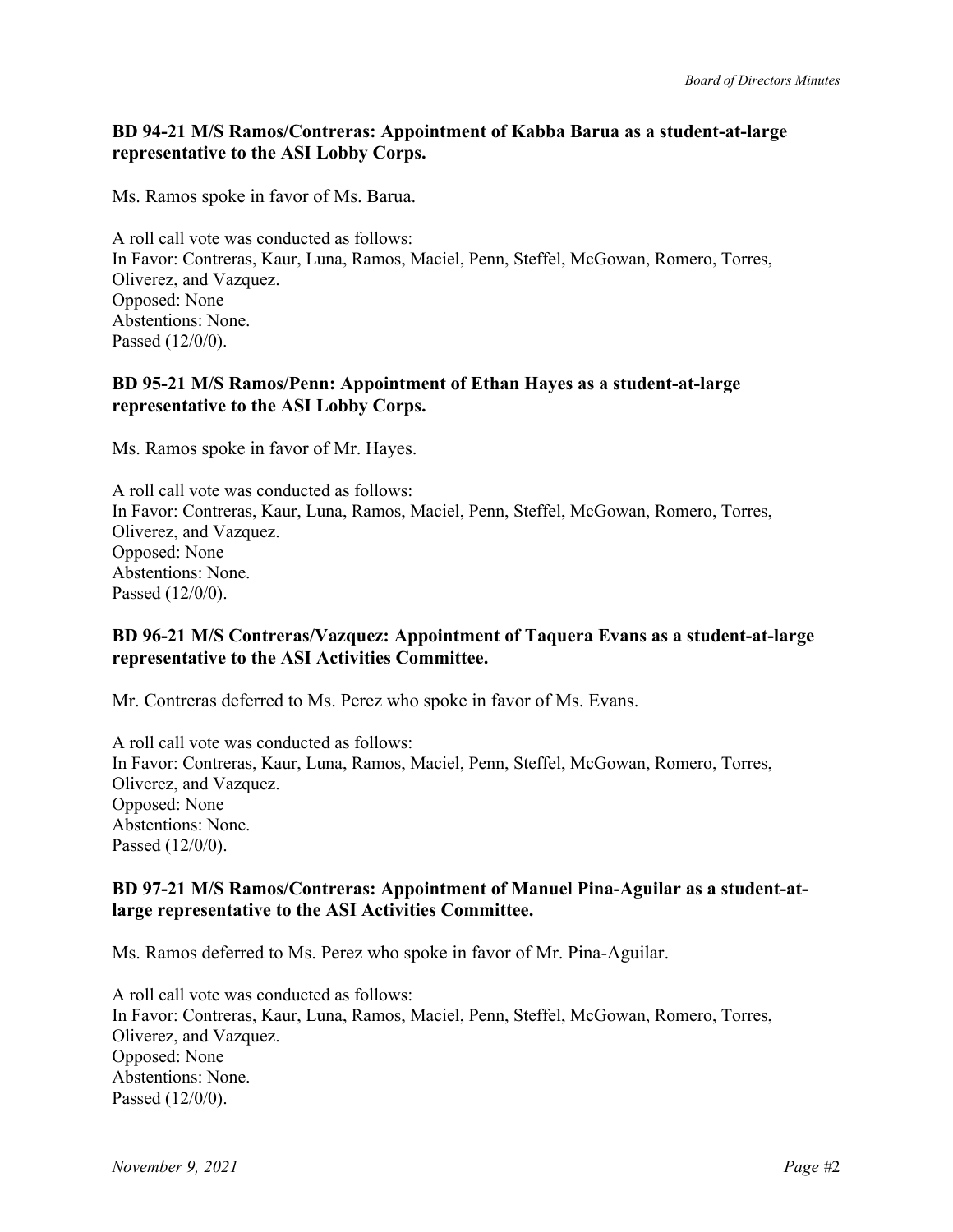# **BD 94-21 M/S Ramos/Contreras: Appointment of Kabba Barua as a student-at-large representative to the ASI Lobby Corps.**

Ms. Ramos spoke in favor of Ms. Barua.

A roll call vote was conducted as follows: In Favor: Contreras, Kaur, Luna, Ramos, Maciel, Penn, Steffel, McGowan, Romero, Torres, Oliverez, and Vazquez. Opposed: None Abstentions: None. Passed (12/0/0).

# **BD 95-21 M/S Ramos/Penn: Appointment of Ethan Hayes as a student-at-large representative to the ASI Lobby Corps.**

Ms. Ramos spoke in favor of Mr. Hayes.

A roll call vote was conducted as follows: In Favor: Contreras, Kaur, Luna, Ramos, Maciel, Penn, Steffel, McGowan, Romero, Torres, Oliverez, and Vazquez. Opposed: None Abstentions: None. Passed (12/0/0).

# **BD 96-21 M/S Contreras/Vazquez: Appointment of Taquera Evans as a student-at-large representative to the ASI Activities Committee.**

Mr. Contreras deferred to Ms. Perez who spoke in favor of Ms. Evans.

A roll call vote was conducted as follows: In Favor: Contreras, Kaur, Luna, Ramos, Maciel, Penn, Steffel, McGowan, Romero, Torres, Oliverez, and Vazquez. Opposed: None Abstentions: None. Passed (12/0/0).

### **BD 97-21 M/S Ramos/Contreras: Appointment of Manuel Pina-Aguilar as a student-atlarge representative to the ASI Activities Committee.**

Ms. Ramos deferred to Ms. Perez who spoke in favor of Mr. Pina-Aguilar.

A roll call vote was conducted as follows: In Favor: Contreras, Kaur, Luna, Ramos, Maciel, Penn, Steffel, McGowan, Romero, Torres, Oliverez, and Vazquez. Opposed: None Abstentions: None. Passed (12/0/0).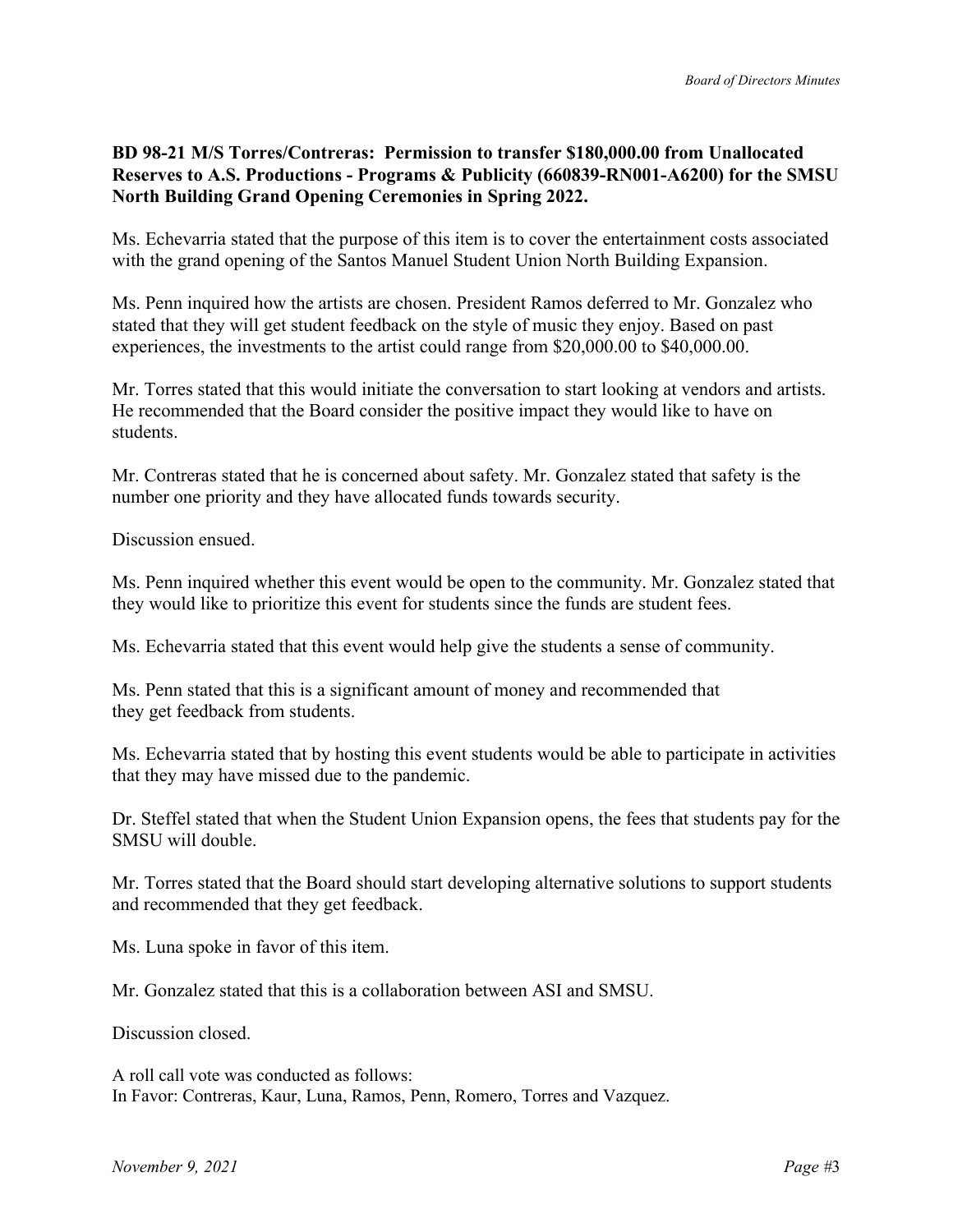## **BD 98-21 M/S Torres/Contreras: Permission to transfer \$180,000.00 from Unallocated Reserves to A.S. Productions - Programs & Publicity (660839-RN001-A6200) for the SMSU North Building Grand Opening Ceremonies in Spring 2022.**

Ms. Echevarria stated that the purpose of this item is to cover the entertainment costs associated with the grand opening of the Santos Manuel Student Union North Building Expansion.

Ms. Penn inquired how the artists are chosen. President Ramos deferred to Mr. Gonzalez who stated that they will get student feedback on the style of music they enjoy. Based on past experiences, the investments to the artist could range from \$20,000.00 to \$40,000.00.

Mr. Torres stated that this would initiate the conversation to start looking at vendors and artists. He recommended that the Board consider the positive impact they would like to have on students.

Mr. Contreras stated that he is concerned about safety. Mr. Gonzalez stated that safety is the number one priority and they have allocated funds towards security.

Discussion ensued.

Ms. Penn inquired whether this event would be open to the community. Mr. Gonzalez stated that they would like to prioritize this event for students since the funds are student fees.

Ms. Echevarria stated that this event would help give the students a sense of community.

Ms. Penn stated that this is a significant amount of money and recommended that they get feedback from students.

Ms. Echevarria stated that by hosting this event students would be able to participate in activities that they may have missed due to the pandemic.

Dr. Steffel stated that when the Student Union Expansion opens, the fees that students pay for the SMSU will double.

Mr. Torres stated that the Board should start developing alternative solutions to support students and recommended that they get feedback.

Ms. Luna spoke in favor of this item.

Mr. Gonzalez stated that this is a collaboration between ASI and SMSU.

Discussion closed.

A roll call vote was conducted as follows: In Favor: Contreras, Kaur, Luna, Ramos, Penn, Romero, Torres and Vazquez.